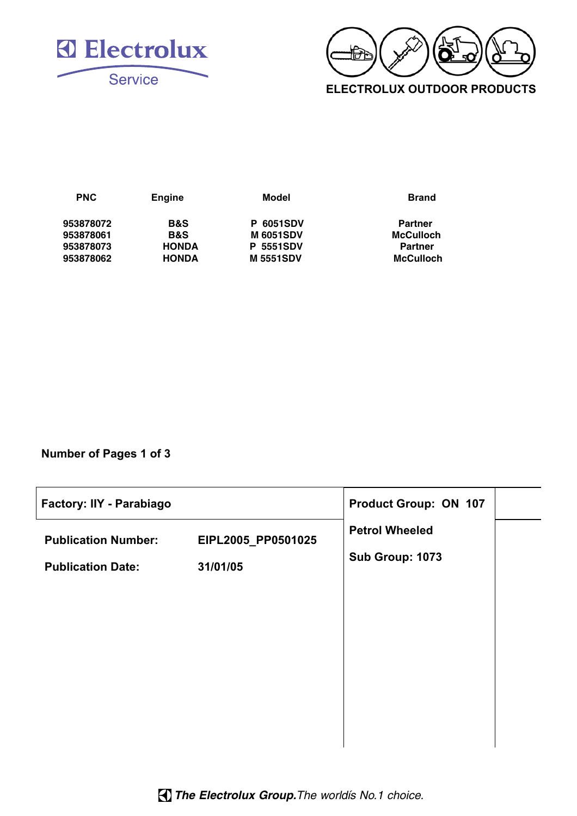



**ELECTROLUX OUTDOOR PRODUCTS**

| <b>PNC</b>             | <b>Engine</b>                | Model                               | <b>Brand</b>                       |  |
|------------------------|------------------------------|-------------------------------------|------------------------------------|--|
| 953878072              | <b>B&amp;S</b>               | <b>P 6051SDV</b>                    | <b>Partner</b>                     |  |
| 953878061              | <b>B&amp;S</b>               | <b>M6051SDV</b>                     | <b>McCulloch</b>                   |  |
| 953878073<br>953878062 | <b>HONDA</b><br><b>HONDA</b> | <b>P 5551SDV</b><br><b>M5551SDV</b> | <b>Partner</b><br><b>McCulloch</b> |  |

## **Number of Pages 1 of 3**

| Factory: IIY - Parabiago                               | <b>Product Group: ON 107</b>   |                                          |  |
|--------------------------------------------------------|--------------------------------|------------------------------------------|--|
| <b>Publication Number:</b><br><b>Publication Date:</b> | EIPL2005_PP0501025<br>31/01/05 | <b>Petrol Wheeled</b><br>Sub Group: 1073 |  |
|                                                        |                                |                                          |  |
|                                                        |                                |                                          |  |
|                                                        |                                |                                          |  |

**The Electrolux Group.**The worldís No.1 choice.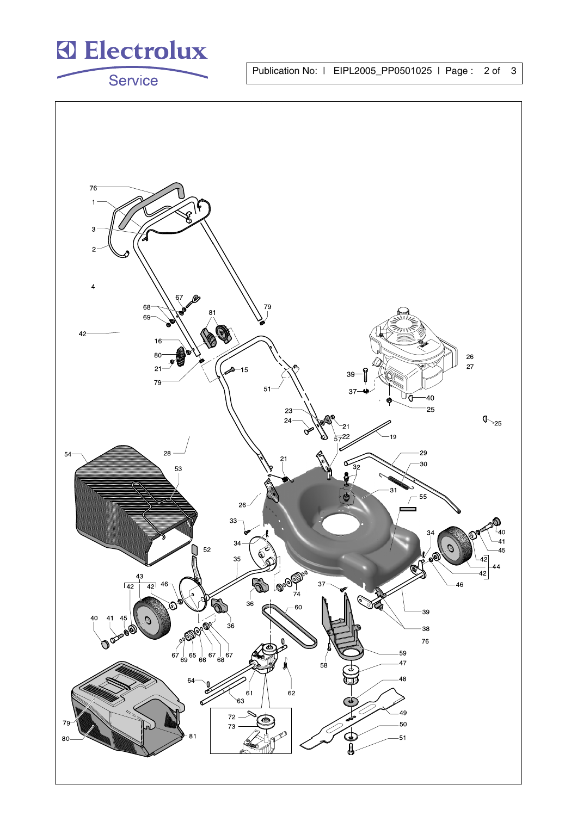

Publication No: | EIPL2005\_PP0501025 | Page : 2 of 3